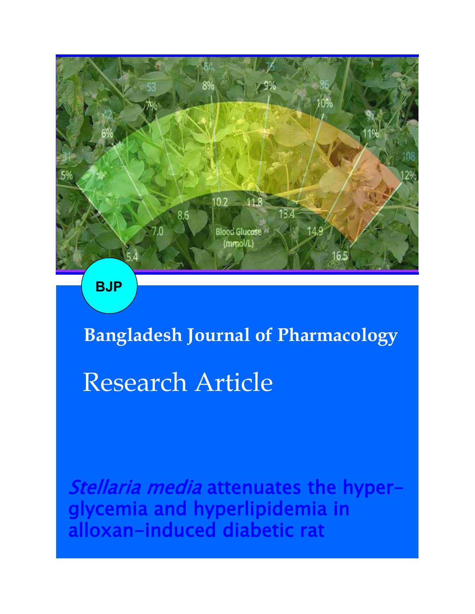

**BJP**

**Bangladesh Journal of Pharmacology** 

# Research Article

Stellaria media attenuates the hyperglycemia and hyperlipidemia in alloxan-induced diabetic rat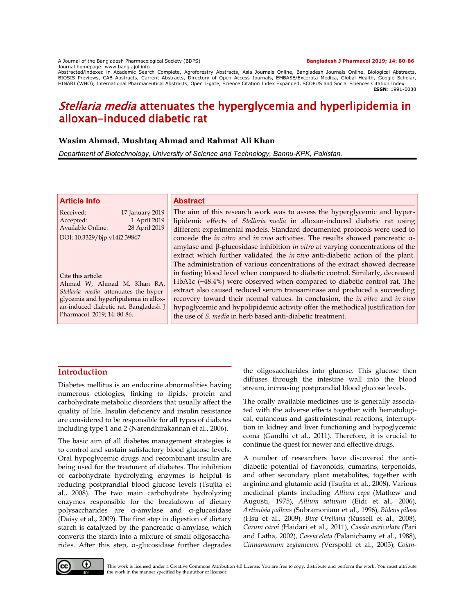A Journal of the Bangladesh Pharmacological Society (BDPS) **Bangladesh J Pharmacol 2019; 14: 80-86** Journal homepage: www.banglajol.info

Abstracted/indexed in Academic Search Complete, Agroforestry Abstracts, Asia Journals Online, Bangladesh Journals Online, Biological Abstracts, BIOSIS Previews, CAB Abstracts, Current Abstracts, Directory of Open Access Journals, EMBASE/Excerpta Medica, Global Health, Google Scholar, HINARI (WHO), International Pharmaceutical Abstracts, Open J-gate, Science Citation Index Expanded, SCOPUS and Social Sciences Citation Index **ISSN**: 1991-0088

# Stellaria media attenuates the hyperglycemia and hyperlipidemia in alloxan-induced diabetic rat

## **Wasim Ahmad, Mushtaq Ahmad and Rahmat Ali Khan**

*Department of Biotechnology, University of Science and Technology, Bannu-KPK, Pakistan.*

| <b>Article Info</b>                                                                                           | <b>Abstract</b>                                                                                                                                                                                                                                                          |
|---------------------------------------------------------------------------------------------------------------|--------------------------------------------------------------------------------------------------------------------------------------------------------------------------------------------------------------------------------------------------------------------------|
| Received:<br>17 January 2019<br>1 April 2019<br>Accepted:<br>Available Online:<br>28 April 2019               | The aim of this research work was to assess the hyperglycemic and hyper-<br>lipidemic effects of Stellaria media in alloxan-induced diabetic rat using                                                                                                                   |
| DOI: 10.3329/bjp.v14i2.39847                                                                                  | different experimental models. Standard documented protocols were used to<br>concede the <i>in vitro</i> and <i>in vivo</i> activities. The results showed pancreatic a-<br>amylase and $\beta$ -glucosidase inhibition <i>in vitro</i> at varying concentrations of the |
|                                                                                                               | extract which further validated the <i>in vivo</i> anti-diabetic action of the plant.<br>The administration of various concentrations of the extract showed decrease                                                                                                     |
| Cite this article:<br>Ahmad W, Ahmad M, Khan RA.<br>Stellaria media attenuates the hyper-                     | in fasting blood level when compared to diabetic control. Similarly, decreased<br>HbA1c (-48.4%) were observed when compared to diabetic control rat. The<br>extract also caused reduced serum transaminase and produced a succeeding                                    |
| glycemia and hyperlipidemia in allox-<br>an-induced diabetic rat. Bangladesh J<br>Pharmacol. 2019; 14: 80-86. | recovery toward their normal values. In conclusion, the in vitro and in vivo<br>hypoglycemic and hypolipidemic activity offer the methodical justification for<br>the use of <i>S. media</i> in herb based anti-diabetic treatment.                                      |

# **Introduction**

Diabetes mellitus is an endocrine abnormalities having numerous etiologies, linking to lipids, protein and carbohydrate metabolic disorders that usually affect the quality of life. Insulin deficiency and insulin resistance are considered to be responsible for all types of diabetes including type 1 and 2 (Narendhirakannan et al., 2006).

The basic aim of all diabetes management strategies is to control and sustain satisfactory blood glucose levels. Oral hypoglycemic drugs and recombinant insulin are being used for the treatment of diabetes. The inhibition of carbohydrate hydrolyzing enzymes is helpful is reducing postprandial blood glucose levels (Tsujita et al., 2008). The two main carbohydrate hydrolyzing enzymes responsible for the breakdown of dietary polysaccharides are α-amylase and α-glucosidase (Daisy et al., 2009). The first step in digestion of dietary starch is catalyzed by the pancreatic α-amylase, which converts the starch into a mixture of small oligosaccharides. After this step, α-glucosidase further degrades

the oligosaccharides into glucose. This glucose then diffuses through the intestine wall into the blood stream, increasing postprandial blood glucose levels.

The orally available medicines use is generally associated with the adverse effects together with hematological, cutaneous and gastrointestinal reactions, interrupttion in kidney and liver functioning and hypoglycemic coma (Gandhi et al., 2011). Therefore, it is crucial to continue the quest for newer and effective drugs.

A number of researchers have discovered the antidiabetic potential of flavonoids, cumarins, terpenoids, and other secondary plant metabolites, together with arginine and glutamic acid (Tsujita et al., 2008). Various medicinal plants including *Allium cepa* (Mathew and Augusti, 1975)*, Allium sativum* (Eidi et al., 2006), *Artimisia pallens (*Subramoniam et al., 1996)*, Bidens pilosa (*Hsu et al., 2009)*, Bixa Orellana (*Russell et al., 2008)*, Carum carvi (*Haidari et al., 2011)*, Cassia auriculata (*Pari and Latha, 2002)*, Cassia elata (*Palanichamy et al., 1988)*, Cinnamomum zeylanicum (*Verspohl et al., 2005)*, Coian-*



This work is licensed under a Creative Commons Attribution 4.0 License. You are free to copy, distribute and perform the work. You must attribute the work in the manner specified by the author or licensor.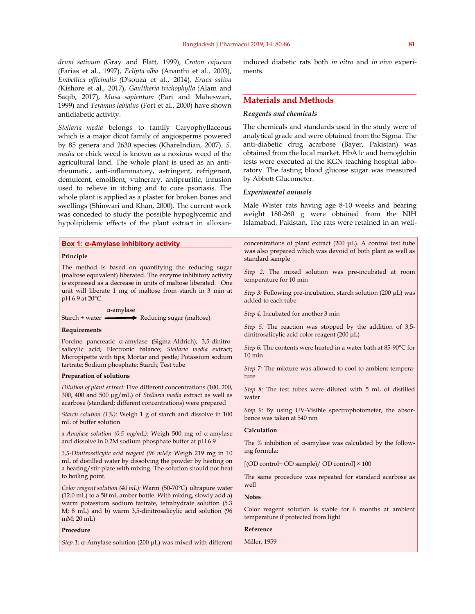*drum sativum (*Gray and Flatt, 1999)*, Croton cajucara* (Farias et al., 1997), *Eclipta alba* (Ananthi et al., 2003), *Embellica officinalis (*D'souza et al., 2014)*, Eruca sativa (*Kishore et al., 2017), *Gaultheria trichophylla (*Alam and Saqib, 2017), *Musa sapientum* (Pari and Maheswari, 1999) and *Teramus labialus* (Fort et al., 2000) have shown antidiabetic activity.

*Stellaria media* belongs to family Caryophyllaceous which is a major dicot family of angiosperms powered by 85 genera and 2630 species (KhareIndian, 2007). *S. media* or chick weed is known as a noxious weed of the agricultural land. The whole plant is used as an antirheumatic, anti-inflammatory, astringent, refrigerant, demulcent, emollient, vulnerary, antipruritic, infusion used to relieve in itching and to cure psoriasis. The whole plant is applied as a plaster for broken bones and swellings (Shinwari and Khan, 2000). The current work was conceded to study the possible hypoglycemic and hypolipidemic effects of the plant extract in alloxan-

**Box 1: α-Amylase inhibitory activity**

#### **Principle**

The method is based on quantifying the reducing sugar (maltose equivalent) liberated. The enzyme inhibitory activity is expressed as a decrease in units of maltose liberated. One unit will liberate 1 mg of maltose from starch in 3 min at pH 6.9 at 20°C.

α-amylase Starch + water  $\longrightarrow$  Reducing sugar (maltose)

#### **Requirements**

Porcine pancreatic α-amylase (Sigma-Aldrich); 3,5-dinitrosalicylic acid; Electronic balance; *Stellaria media* extract; Micropipette with tips; Mortar and pestle; Potassium sodium tartrate; Sodium phosphate; Starch; Test tube

#### **Preparation of solutions**

*Dilution of plant extract*: Five different concentrations (100, 200, 300, 400 and 500 µg/mL) of *Stellaria media* extract as well as acarbose (standard; different concentrations) were prepared

*Starch solution (1%):* Weigh 1 g of starch and dissolve in 100 mL of buffer solution

*α-Amylase solution (0.5 mg/mL):* Weigh 500 mg of α-amylase and dissolve in 0.2M sodium phosphate buffer at pH 6.9

*3,5-Dinitrosalicylic acid reagent (96 mM)*: Weigh 219 mg in 10 mL of distilled water by dissolving the powder by heating on a heating/stir plate with mixing. The solution should not heat to boiling point.

*Color reagent solution (40 mL):* Warm (50-70°C) ultrapure water (12.0 mL) to a 50 mL amber bottle. With mixing, slowly add a) warm potassium sodium tartrate, tetrahydrate solution (5.3 M; 8 mL) and b) warm 3,5-dinitrosalicylic acid solution (96 mM; 20 mL)

#### **Procedure**

*Step 1:* α-Amylase solution (200 μL) was mixed with different

induced diabetic rats both *in vitro* and *in vivo* experiments.

#### **Materials and Methods**

#### *Reagents and chemicals*

The chemicals and standards used in the study were of analytical grade and were obtained from the Sigma. The anti-diabetic drug acarbose (Bayer, Pakistan) was obtained from the local market. HbA1c and hemoglobin tests were executed at the KGN teaching hospital laboratory. The fasting blood glucose sugar was measured by Abbott Glucometer.

#### *Experimental animals*

Male Wister rats having age 8-10 weeks and bearing weight 180-260 g were obtained from the NIH Islamabad, Pakistan. The rats were retained in an well-

concentrations of plant extract (200 μL). A control test tube was also prepared which was devoid of both plant as well as standard sample

*Step 2:* The mixed solution was pre-incubated at room temperature for 10 min

*Step 3:* Following pre-incubation, starch solution (200 μL) was added to each tube

*Step 4:* Incubated for another 3 min

*Step 5:* The reaction was stopped by the addition of 3,5 dinitrosalicylic acid color reagent (200 μL)

*Step 6:* The contents were heated in a water bath at 85-90°C for 10 min

*Step 7:* The mixture was allowed to cool to ambient temperature

*Step 8:* The test tubes were diluted with 5 mL of distilled water

*Step 9:* By using UV-Visible spectrophotometer, the absorbance was taken at 540 nm

#### **Calculation**

The % inhibition of α-amylase was calculated by the following formula:

[(OD control− OD sample)/ OD control] × 100

The same procedure was repeated for standard acarbose as well

#### **Notes**

Color reagent solution is stable for 6 months at ambient temperature if protected from light

#### **Reference**

Miller, 1959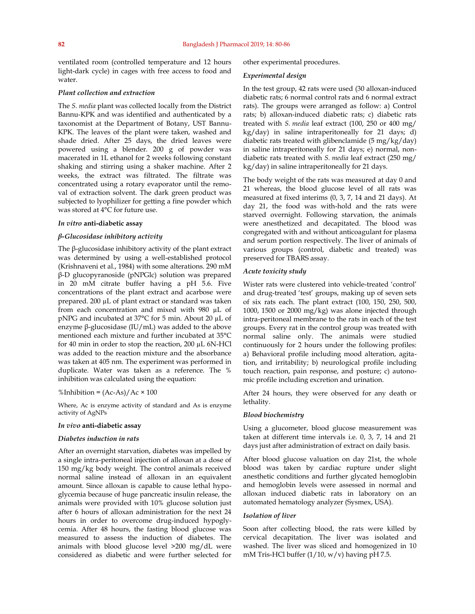ventilated room (controlled temperature and 12 hours light-dark cycle) in cages with free access to food and water.

#### *Plant collection and extraction*

The *S. media* plant was collected locally from the District Bannu-KPK and was identified and authenticated by a taxonomist at the Department of Botany, UST Bannu-KPK. The leaves of the plant were taken, washed and shade dried. After 25 days, the dried leaves were powered using a blender. 200 g of powder was macerated in 1L ethanol for 2 weeks following constant shaking and stirring using a shaker machine. After 2 weeks, the extract was filtrated. The filtrate was concentrated using a rotary evaporator until the removal of extraction solvent. The dark green product was subjected to lyophilizer for getting a fine powder which was stored at 4°C for future use.

#### *In vitro* **anti-diabetic assay**

#### *β-Glucosidase inhibitory activity*

The β-glucosidase inhibitory activity of the plant extract was determined by using a well-established protocol (Krishnaveni et al., 1984) with some alterations. 290 mM β-D glucopyranoside (pNPGlc) solution was prepared in 20 mM citrate buffer having a pH 5.6. Five concentrations of the plant extract and acarbose were prepared. 200 µL of plant extract or standard was taken from each concentration and mixed with 980 µL of pNPG and incubated at 37°C for 5 min. About 20 µL of enzyme β-glucosidase (IU/mL) was added to the above mentioned each mixture and further incubated at 35°C for 40 min in order to stop the reaction, 200 µL 6N-HCl was added to the reaction mixture and the absorbance was taken at 405 nm. The experiment was performed in duplicate. Water was taken as a reference. The % inhibition was calculated using the equation:

#### %Inhibition =  $(Ac-As)/Ac \times 100$

Where, Ac is enzyme activity of standard and As is enzyme activity of AgNPs

#### *In vivo* **anti-diabetic assay**

#### *Diabetes induction in rats*

After an overnight starvation, diabetes was impelled by a single intra-peritoneal injection of alloxan at a dose of 150 mg/kg body weight. The control animals received normal saline instead of alloxan in an equivalent amount. Since alloxan is capable to cause lethal hypoglycemia because of huge pancreatic insulin release, the animals were provided with 10% glucose solution just after 6 hours of alloxan administration for the next 24 hours in order to overcome drug-induced hypoglycemia. After 48 hours, the fasting blood glucose was measured to assess the induction of diabetes. The animals with blood glucose level >200 mg/dL were considered as diabetic and were further selected for

other experimental procedures.

#### *Experimental design*

In the test group, 42 rats were used (30 alloxan-induced diabetic rats; 6 normal control rats and 6 normal extract rats). The groups were arranged as follow: a) Control rats; b) alloxan-induced diabetic rats; c) diabetic rats treated with *S. media* leaf extract (100, 250 or 400 mg/ kg/day) in saline intraperitoneally for 21 days; d) diabetic rats treated with glibenclamide (5 mg/kg/day) in saline intraperitoneally for 21 days; e) normal, nondiabetic rats treated with *S. media* leaf extract (250 mg/ kg/day) in saline intraperitoneally for 21 days.

The body weight of the rats was measured at day 0 and 21 whereas, the blood glucose level of all rats was measured at fixed interims (0, 3, 7, 14 and 21 days). At day 21, the food was with-hold and the rats were starved overnight. Following starvation, the animals were anesthetized and decapitated. The blood was congregated with and without anticoagulant for plasma and serum portion respectively. The liver of animals of various groups (control, diabetic and treated) was preserved for TBARS assay.

#### *Acute toxicity study*

Wister rats were clustered into vehicle-treated 'control' and drug-treated 'test' groups, making up of seven sets of six rats each. The plant extract (100, 150, 250, 500, 1000, 1500 or 2000 mg/kg) was alone injected through intra-peritoneal membrane to the rats in each of the test groups. Every rat in the control group was treated with normal saline only. The animals were studied continuously for 2 hours under the following profiles: a) Behavioral profile including mood alteration, agitation, and irritability; b) neurological profile including touch reaction, pain response, and posture; c) autonomic profile including excretion and urination.

After 24 hours, they were observed for any death or lethality.

#### *Blood biochemistry*

Using a glucometer, blood glucose measurement was taken at different time intervals i.e. 0, 3, 7, 14 and 21 days just after administration of extract on daily basis.

After blood glucose valuation on day 21st, the whole blood was taken by cardiac rupture under slight anesthetic conditions and further glycated hemoglobin and hemoglobin levels were assessed in normal and alloxan induced diabetic rats in laboratory on an automated hematology analyzer (Sysmex, USA).

#### *Isolation of liver*

Soon after collecting blood, the rats were killed by cervical decapitation. The liver was isolated and washed. The liver was sliced and homogenized in 10 mM Tris-HCl buffer (1/10, w/v) having pH 7.5.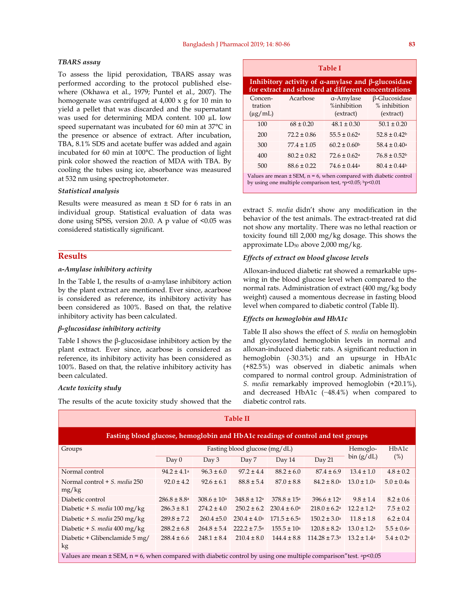#### *TBARS assay*

To assess the lipid peroxidation, TBARS assay was performed according to the protocol published elsewhere (Okhawa et al., 1979; Puntel et al., 2007). The homogenate was centrifuged at 4,000 x g for 10 min to yield a pellet that was discarded and the supernatant was used for determining MDA content. 100 µL low speed supernatant was incubated for 60 min at 37°C in the presence or absence of extract. After incubation, TBA, 8.1% SDS and acetate buffer was added and again incubated for 60 min at 100°C. The production of light pink color showed the reaction of MDA with TBA. By cooling the tubes using ice, absorbance was measured at 532 nm using spectrophotometer.

#### *Statistical analysis*

Results were measured as mean ± SD for 6 rats in an individual group. Statistical evaluation of data was done using SPSS, version 20.0. A p value of <0.05 was considered statistically significant.

#### **Results**

#### *α-Amylase inhibitory activity*

In the Table I, the results of α-amylase inhibitory action by the plant extract are mentioned. Ever since, acarbose is considered as reference, its inhibitory activity has been considered as 100%. Based on that, the relative inhibitory activity has been calculated.

#### *β-glucosidase inhibitory activity*

Table I shows the  $\beta$ -glucosidase inhibitory action by the plant extract. Ever since, acarbose is considered as reference, its inhibitory activity has been considered as 100%. Based on that, the relative inhibitory activity has been calculated.

#### *Acute toxicity study*

The results of the acute toxicity study showed that the

| <b>Table I</b>                                                                                                                           |                 |                                       |                                                   |  |  |  |
|------------------------------------------------------------------------------------------------------------------------------------------|-----------------|---------------------------------------|---------------------------------------------------|--|--|--|
| Inhibitory activity of $\alpha$ -amylase and $\beta$ -glucosidase<br>for extract and standard at different concentrations                |                 |                                       |                                                   |  |  |  |
| Concen-<br>tration<br>$(\mu g/mL)$                                                                                                       | Acarbose        | a-Amylase<br>%inhibition<br>(extract) | $\beta$ -Glucosidase<br>% inhibition<br>(extract) |  |  |  |
| 100                                                                                                                                      | $68 \pm 0.20$   | $48.1 \pm 0.30$                       | $50.1 \pm 0.20$                                   |  |  |  |
| 200                                                                                                                                      | $72.2 \pm 0.86$ | $55.5 + 0.62a$                        | $528 + 042$                                       |  |  |  |
| 300                                                                                                                                      | $774 + 105$     | $60.2 \pm 0.60$                       | $58.4 \pm 0.40$ <sup>a</sup>                      |  |  |  |
| 400                                                                                                                                      | $80.2 \pm 0.82$ | $72.6 \pm 0.62$ <sup>a</sup>          | $76.8 \pm 0.52$                                   |  |  |  |
| 500                                                                                                                                      | $886 + 0.22$    | $746 + 044$                           | $80.4 \pm 0.44$                                   |  |  |  |
| Values are mean $\pm$ SEM, $n = 6$ , when compared with diabetic control<br>by using one multiple comparison test, $ap<0.05$ ; $bp<0.01$ |                 |                                       |                                                   |  |  |  |

extract *S. media* didn't show any modification in the behavior of the test animals. The extract-treated rat did not show any mortality. There was no lethal reaction or toxicity found till 2,000 mg/kg dosage. This shows the approximate  $LD_{50}$  above 2,000 mg/kg.

### *Effects of extract on blood glucose levels*

Alloxan-induced diabetic rat showed a remarkable upswing in the blood glucose level when compared to the normal rats. Administration of extract (400 mg/kg body weight) caused a momentous decrease in fasting blood level when compared to diabetic control (Table II).

#### *Effects on hemoglobin and HbA1c*

Table II also shows the effect of *S. media* on hemoglobin and glycosylated hemoglobin levels in normal and alloxan-induced diabetic rats. A significant reduction in hemoglobin (-30.3%) and an upsurge in HbA1c (+82.5%) was observed in diabetic animals when compared to normal control group. Administration of *S. media* remarkably improved hemoglobin (+20.1%), and decreased HbA1c (−48.4%) when compared to diabetic control rats.

| <b>Table II</b>                                                                                                          |                               |                        |                            |                         |                               |                           |                       |  |
|--------------------------------------------------------------------------------------------------------------------------|-------------------------------|------------------------|----------------------------|-------------------------|-------------------------------|---------------------------|-----------------------|--|
| Fasting blood glucose, hemoglobin and HbA1c readings of control and test groups                                          |                               |                        |                            |                         |                               |                           |                       |  |
| Groups                                                                                                                   | Fasting blood glucose (mg/dL) |                        |                            |                         | Hemoglo-                      | HbA1c                     |                       |  |
|                                                                                                                          | Day 0                         | Day 3                  | Day 7                      | Day 14                  | Day 21                        | bin (g/dL)                | (%)                   |  |
| Normal control                                                                                                           | $94.2 \pm 4.1^{\circ}$        | $96.3 \pm 6.0$         | $97.2 \pm 4.4$             | $88.2 \pm 6.0$          | $87.4 \pm 6.9$                | $13.4 \pm 1.0$            | $4.8 \pm 0.2$         |  |
| Normal control $+ S$ , media 250<br>mg/kg                                                                                | $92.0 \pm 4.2$                | $92.6 \pm 6.1$         | $88.8 \pm 5.4$             | $87.0 \pm 8.8$          | $84.2 \pm 8.0$ <sup>a</sup>   | $13.0 \pm 1.0^{\rm a}$    | $5.0 \pm 0.4s$        |  |
| Diabetic control                                                                                                         | $286.8 \pm 8.8^{\rm a}$       | $308.6 \pm 10^{\circ}$ | $348.8 \pm 12^a$           | $378.8 \pm 15^{\circ}$  | $396.6 \pm 12$ <sup>a</sup>   | $9.8 \pm 1.4$             | $8.2 \pm 0.6$         |  |
| Diabetic + S. media 100 mg/kg                                                                                            | $286.3 \pm 8.1$               | $274.2 \pm 4.0$        | $250.2 \pm 6.2$            | $230.4 \pm 6.0^{\circ}$ | $218.0 \pm 6.2$ <sup>a</sup>  | $12.2 \pm 1.2^{\rm a}$    | $7.5 \pm 0.2$         |  |
| Diabetic + S. media $250 \text{ mg/kg}$                                                                                  | $289.8 \pm 7.2$               | $260.4 \pm 5.0$        | $230.4 \pm 4.0^{\circ}$    | $171.5 \pm 6.5^{\circ}$ | $150.2 \pm 3.0^{\circ}$       | $11.8 \pm 1.8$            | $6.2 \pm 0.4$         |  |
| Diabetic + S. media 400 mg/kg                                                                                            | $288.2 \pm 6.8$               | $264.8 \pm 5.4$        | $222.2 \pm 7.5^{\text{a}}$ | $155.5 \pm 10^a$        | $120.8 \pm 8.2$ <sup>a</sup>  | $13.0 \pm 1.2^{\rm a}$    | $5.5 \pm 0.6^{\rm a}$ |  |
| Diabetic + Glibenclamide 5 mg/<br>kg                                                                                     | $288.4 \pm 6.6$               | $248.1 \pm 8.4$        | $210.4 \pm 8.0$            | $144.4 \pm 8.8$         | $114.28 \pm 7.3$ <sup>a</sup> | $13.2 \pm 1.4^{\text{a}}$ | $5.4 \pm 0.2^{\rm a}$ |  |
| Values are mean $\pm$ SEM, n = 6, when compared with diabetic control by using one multiple comparison" test. $a$ p<0.05 |                               |                        |                            |                         |                               |                           |                       |  |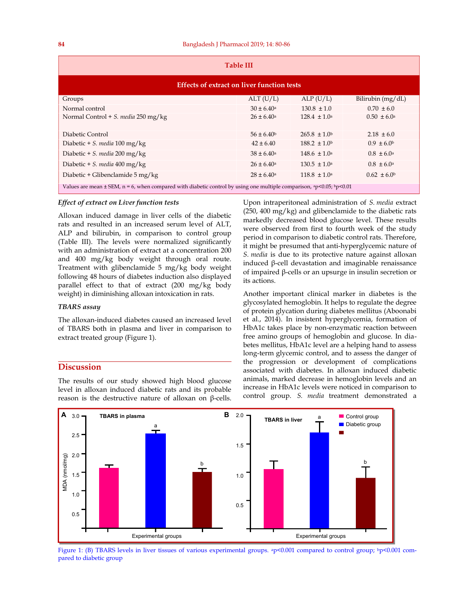| <b>Table III</b>                                                                                                                     |                       |                         |                        |  |  |  |
|--------------------------------------------------------------------------------------------------------------------------------------|-----------------------|-------------------------|------------------------|--|--|--|
| Effects of extract on liver function tests                                                                                           |                       |                         |                        |  |  |  |
| Groups                                                                                                                               | ALT(U/L)              | ALP(U/L)                | Bilirubin (mg/dL)      |  |  |  |
| Normal control                                                                                                                       | $30 \pm 6.40^{\circ}$ | $130.8 \pm 1.0$         | $0.70 \pm 6.0$         |  |  |  |
| Normal Control + S. media 250 mg/kg                                                                                                  | $26 \pm 6.40^{\circ}$ | $128.4 \pm 1.0^a$       | $0.50 \pm 6.0^{\circ}$ |  |  |  |
| Diabetic Control                                                                                                                     | $56 \pm 6.40^{\circ}$ | $265.8 \pm 1.0^b$       | $2.18 \pm 6.0$         |  |  |  |
| Diabetic + S. media 100 mg/kg                                                                                                        | $42 \pm 6.40$         | $188.2 \pm 1.0^b$       | $0.9 \pm 6.0^{\circ}$  |  |  |  |
| Diabetic + S. media 200 mg/kg                                                                                                        | $38 \pm 6.40^{\circ}$ | $148.6 \pm 1.0^{\circ}$ | $0.8 \pm 6.0^{\circ}$  |  |  |  |
| Diabetic + S. media 400 mg/kg                                                                                                        | $26 \pm 6.40^{\circ}$ | $130.5 \pm 1.0^{\circ}$ | $0.8 \pm 6.0^{\circ}$  |  |  |  |
| Diabetic + Glibenclamide 5 mg/kg                                                                                                     | $28 \pm 6.40^{\circ}$ | $118.8 \pm 1.0$ a       | $0.62 \pm 6.0$         |  |  |  |
| Values are mean $\pm$ SEM, n = 6, when compared with diabetic control by using one multiple comparison, $^{ap}$ <0.05; $^{bp}$ <0.01 |                       |                         |                        |  |  |  |

#### *Effect of extract on Liver function tests*

Alloxan induced damage in liver cells of the diabetic rats and resulted in an increased serum level of ALT, ALP and bilirubin, in comparison to control group (Table III). The levels were normalized significantly with an administration of extract at a concentration 200 and 400 mg/kg body weight through oral route. Treatment with glibenclamide 5 mg/kg body weight following 48 hours of diabetes induction also displayed parallel effect to that of extract (200 mg/kg body weight) in diminishing alloxan intoxication in rats.

#### *TBARS assay*

The alloxan-induced diabetes caused an increased level of TBARS both in plasma and liver in comparison to extract treated group (Figure 1).

#### **Discussion**

The results of our study showed high blood glucose level in alloxan induced diabetic rats and its probable reason is the destructive nature of alloxan on β-cells.

Upon intraperitoneal administration of *S. media* extract (250, 400 mg/kg) and glibenclamide to the diabetic rats markedly decreased blood glucose level. These results were observed from first to fourth week of the study period in comparison to diabetic control rats. Therefore, it might be presumed that anti-hyperglycemic nature of *S. media* is due to its protective nature against alloxan induced β-cell devastation and imaginable renaissance of impaired β-cells or an upsurge in insulin secretion or its actions.

Another important clinical marker in diabetes is the glycosylated hemoglobin. It helps to regulate the degree of protein glycation during diabetes mellitus (Aboonabi et al., 2014). In insistent hyperglycemia, formation of HbA1c takes place by non-enzymatic reaction between free amino groups of hemoglobin and glucose. In diabetes mellitus, HbA1c level are a helping hand to assess long-term glycemic control, and to assess the danger of the progression or development of complications associated with diabetes. In alloxan induced diabetic animals, marked decrease in hemoglobin levels and an increase in HbA1c levels were noticed in comparison to control group. *S. media* treatment demonstrated a



Figure 1: (B) TBARS levels in liver tissues of various experimental groups. <sup>a</sup>p<0.001 compared to control group; <sup>b</sup>p<0.001 compared to diabetic group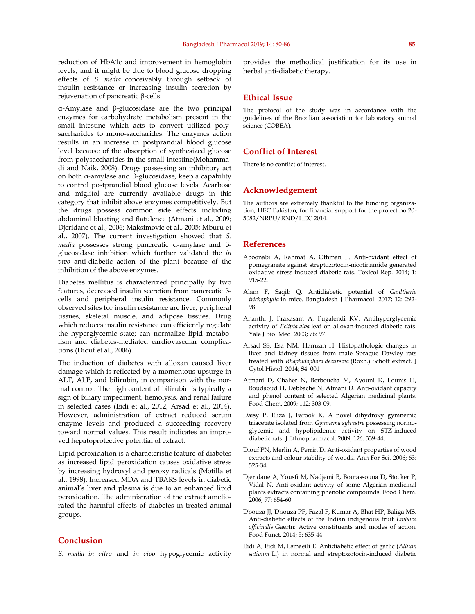reduction of HbA1c and improvement in hemoglobin levels, and it might be due to blood glucose dropping effects of *S. media* conceivably through setback of insulin resistance or increasing insulin secretion by rejuvenation of pancreatic β-cells.

α-Amylase and β-glucosidase are the two principal enzymes for carbohydrate metabolism present in the small intestine which acts to convert utilized polysaccharides to mono-saccharides. The enzymes action results in an increase in postprandial blood glucose level because of the absorption of synthesized glucose from polysaccharides in the small intestine(Mohammadi and Naik, 2008). Drugs possessing an inhibitory act on both α-amylase and β-glucosidase, keep a capability to control postprandial blood glucose levels. Acarbose and miglitol are currently available drugs in this category that inhibit above enzymes competitively. But the drugs possess common side effects including abdominal bloating and flatulence (Atmani et al., 2009; Djeridane et al., 2006; Maksimovic et al., 2005; Mburu et al., 2007). The current investigation showed that *S. media* possesses strong pancreatic α-amylase and βglucosidase inhibition which further validated the *in vivo* anti-diabetic action of the plant because of the inhibition of the above enzymes.

Diabetes mellitus is characterized principally by two features, decreased insulin secretion from pancreatic βcells and peripheral insulin resistance. Commonly observed sites for insulin resistance are liver, peripheral tissues, skeletal muscle, and adipose tissues. Drug which reduces insulin resistance can efficiently regulate the hyperglycemic state; can normalize lipid metabolism and diabetes-mediated cardiovascular complications (Diouf et al., 2006).

The induction of diabetes with alloxan caused liver damage which is reflected by a momentous upsurge in ALT, ALP, and bilirubin, in comparison with the normal control. The high content of bilirubin is typically a sign of biliary impediment, hemolysis, and renal failure in selected cases (Eidi et al., 2012; Arsad et al., 2014). However, administration of extract reduced serum enzyme levels and produced a succeeding recovery toward normal values. This result indicates an improved hepatoprotective potential of extract.

Lipid peroxidation is a characteristic feature of diabetes as increased lipid peroxidation causes oxidative stress by increasing hydroxyl and peroxy radicals (Motilla et al., 1998). Increased MDA and TBARS levels in diabetic animal's liver and plasma is due to an enhanced lipid peroxidation. The administration of the extract ameliorated the harmful effects of diabetes in treated animal groups.

#### **Conclusion**

*S. media in vitro* and *in vivo* hypoglycemic activity

provides the methodical justification for its use in herbal anti-diabetic therapy.

#### **Ethical Issue**

The protocol of the study was in accordance with the guidelines of the Brazilian association for laboratory animal science (COBEA).

#### **Conflict of Interest**

There is no conflict of interest.

#### **Acknowledgement**

The authors are extremely thankful to the funding organization, HEC Pakistan, for financial support for the project no 20- 5082/NRPU/RND/HEC 2014.

#### **References**

- Aboonabi A, Rahmat A, Othman F. Anti-oxidant effect of pomegranate against streptozotocin-nicotinamide generated oxidative stress induced diabetic rats. Toxicol Rep. 2014; 1: 915-22.
- Alam F, Saqib Q. Antidiabetic potential of *Gaultheria trichophylla* in mice. Bangladesh J Pharmacol. 2017; 12: 292- 98.
- Ananthi J, Prakasam A, Pugalendi KV. Antihyperglycemic activity of *Eclipta alba* leaf on alloxan-induced diabetic rats. Yale J Biol Med. 2003; 76: 97.
- Arsad SS, Esa NM, Hamzah H. Histopathologic changes in liver and kidney tissues from male Sprague Dawley rats treated with *Rhaphidophora decursiva* (Roxb.) Schott extract. J Cytol Histol. 2014; S4: 001
- Atmani D, Chaher N, Berboucha M, Ayouni K, Lounis H, Boudaoud H, Debbache N, Atmani D. Anti-oxidant capacity and phenol content of selected Algerian medicinal plants. Food Chem. 2009; 112: 303-09.
- Daisy P, Eliza J, Farook K. A novel dihydroxy gymnemic triacetate isolated from *Gymnema sylvestre* possessing normoglycemic and hypolipidemic activity on STZ-induced diabetic rats. J Ethnopharmacol. 2009; 126: 339-44.
- Diouf PN, Merlin A, Perrin D. Anti-oxidant properties of wood extracts and colour stability of woods. Ann For Sci. 2006; 63: 525-34.
- Djeridane A, Yousfi M, Nadjemi B, Boutassouna D, Stocker P, Vidal N. Anti-oxidant activity of some Algerian medicinal plants extracts containing phenolic compounds. Food Chem. 2006; 97: 654-60.
- D'souza JJ, D'souza PP, Fazal F, Kumar A, Bhat HP, Baliga MS. Anti-diabetic effects of the Indian indigenous fruit *Emblica officinalis* Gaertn: Active constituents and modes of action. Food Funct. 2014; 5: 635-44.
- Eidi A, Eidi M, Esmaeili E. Antidiabetic effect of garlic (*Allium sativum* L.) in normal and streptozotocin-induced diabetic